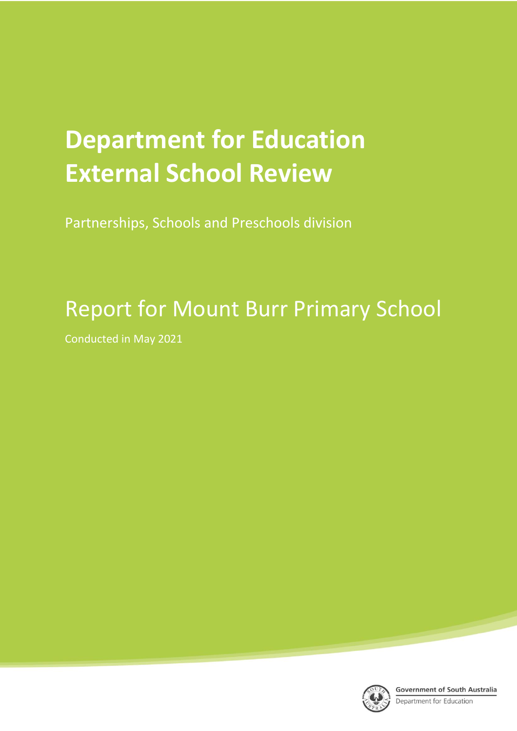# **Department for Education External School Review**

Partnerships, Schools and Preschools division

## Report for Mount Burr Primary School

Conducted in May 2021



**Government of South Australia** 

Department for Education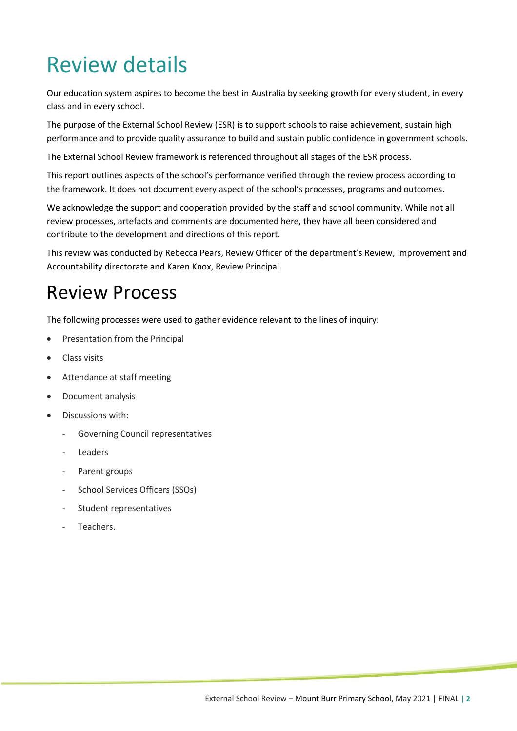## Review details

Our education system aspires to become the best in Australia by seeking growth for every student, in every class and in every school.

The purpose of the External School Review (ESR) is to support schools to raise achievement, sustain high performance and to provide quality assurance to build and sustain public confidence in government schools.

The External School Review framework is referenced throughout all stages of the ESR process.

This report outlines aspects of the school's performance verified through the review process according to the framework. It does not document every aspect of the school's processes, programs and outcomes.

We acknowledge the support and cooperation provided by the staff and school community. While not all review processes, artefacts and comments are documented here, they have all been considered and contribute to the development and directions of this report.

This review was conducted by Rebecca Pears, Review Officer of the department's Review, Improvement and Accountability directorate and Karen Knox, Review Principal.

## Review Process

The following processes were used to gather evidence relevant to the lines of inquiry:

- Presentation from the Principal
- Class visits
- Attendance at staff meeting
- Document analysis
- Discussions with:
	- Governing Council representatives
	- **Leaders**
	- Parent groups
	- School Services Officers (SSOs)
	- Student representatives
	- Teachers.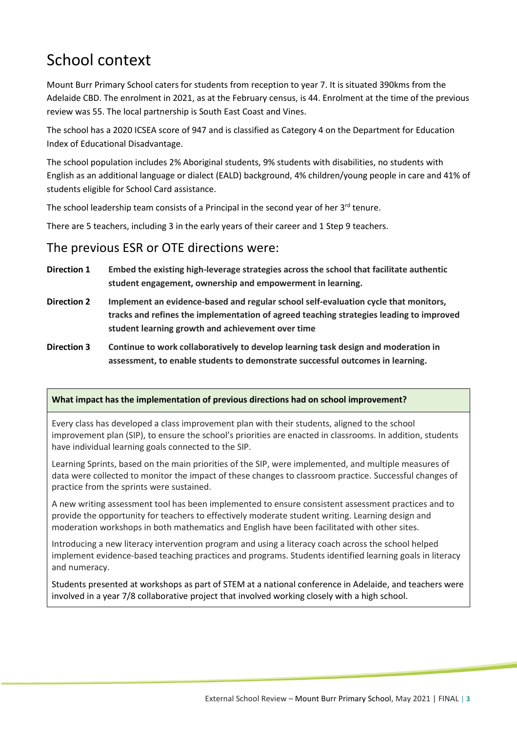## School context

Mount Burr Primary School caters for students from reception to year 7. It is situated 390kms from the Adelaide CBD. The enrolment in 2021, as at the February census, is 44. Enrolment at the time of the previous review was 55. The local partnership is South East Coast and Vines.

The school has a 2020 ICSEA score of 947 and is classified as Category 4 on the Department for Education Index of Educational Disadvantage.

The school population includes 2% Aboriginal students, 9% students with disabilities, no students with English as an additional language or dialect (EALD) background, 4% children/young people in care and 41% of students eligible for School Card assistance.

The school leadership team consists of a Principal in the second year of her 3<sup>rd</sup> tenure.

There are 5 teachers, including 3 in the early years of their career and 1 Step 9 teachers.

#### The previous ESR or OTE directions were:

- **Direction 1 Embed the existing high-leverage strategies across the school that facilitate authentic student engagement, ownership and empowerment in learning.**
- **Direction 2 Implement an evidence-based and regular school self-evaluation cycle that monitors, tracks and refines the implementation of agreed teaching strategies leading to improved student learning growth and achievement over time**
- **Direction 3 Continue to work collaboratively to develop learning task design and moderation in assessment, to enable students to demonstrate successful outcomes in learning.**

#### **What impact has the implementation of previous directions had on school improvement?**

Every class has developed a class improvement plan with their students, aligned to the school improvement plan (SIP), to ensure the school's priorities are enacted in classrooms. In addition, students have individual learning goals connected to the SIP.

Learning Sprints, based on the main priorities of the SIP, were implemented, and multiple measures of data were collected to monitor the impact of these changes to classroom practice. Successful changes of practice from the sprints were sustained.

A new writing assessment tool has been implemented to ensure consistent assessment practices and to provide the opportunity for teachers to effectively moderate student writing. Learning design and moderation workshops in both mathematics and English have been facilitated with other sites.

Introducing a new literacy intervention program and using a literacy coach across the school helped implement evidence-based teaching practices and programs. Students identified learning goals in literacy and numeracy.

Students presented at workshops as part of STEM at a national conference in Adelaide, and teachers were involved in a year 7/8 collaborative project that involved working closely with a high school.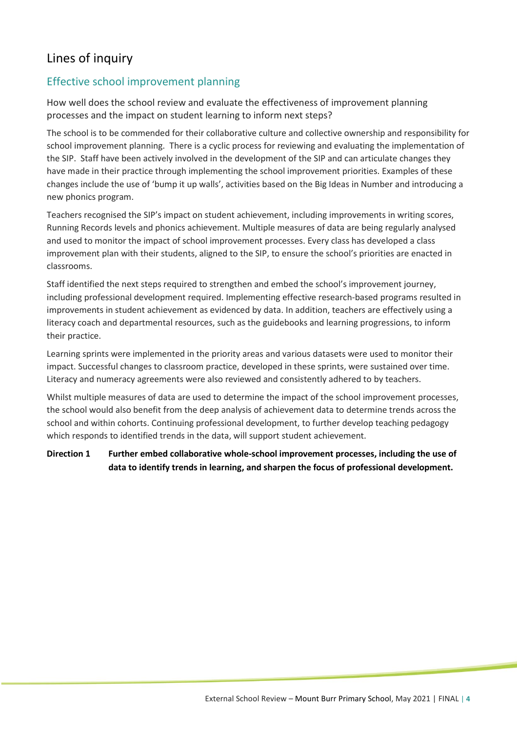### Lines of inquiry

#### Effective school improvement planning

How well does the school review and evaluate the effectiveness of improvement planning processes and the impact on student learning to inform next steps?

The school is to be commended for their collaborative culture and collective ownership and responsibility for school improvement planning. There is a cyclic process for reviewing and evaluating the implementation of the SIP. Staff have been actively involved in the development of the SIP and can articulate changes they have made in their practice through implementing the school improvement priorities. Examples of these changes include the use of 'bump it up walls', activities based on the Big Ideas in Number and introducing a new phonics program.

Teachers recognised the SIP's impact on student achievement, including improvements in writing scores, Running Records levels and phonics achievement. Multiple measures of data are being regularly analysed and used to monitor the impact of school improvement processes. Every class has developed a class improvement plan with their students, aligned to the SIP, to ensure the school's priorities are enacted in classrooms.

Staff identified the next steps required to strengthen and embed the school's improvement journey, including professional development required. Implementing effective research-based programs resulted in improvements in student achievement as evidenced by data. In addition, teachers are effectively using a literacy coach and departmental resources, such as the guidebooks and learning progressions, to inform their practice.

Learning sprints were implemented in the priority areas and various datasets were used to monitor their impact. Successful changes to classroom practice, developed in these sprints, were sustained over time. Literacy and numeracy agreements were also reviewed and consistently adhered to by teachers.

Whilst multiple measures of data are used to determine the impact of the school improvement processes, the school would also benefit from the deep analysis of achievement data to determine trends across the school and within cohorts. Continuing professional development, to further develop teaching pedagogy which responds to identified trends in the data, will support student achievement.

**Direction 1 Further embed collaborative whole-school improvement processes, including the use of data to identify trends in learning, and sharpen the focus of professional development.**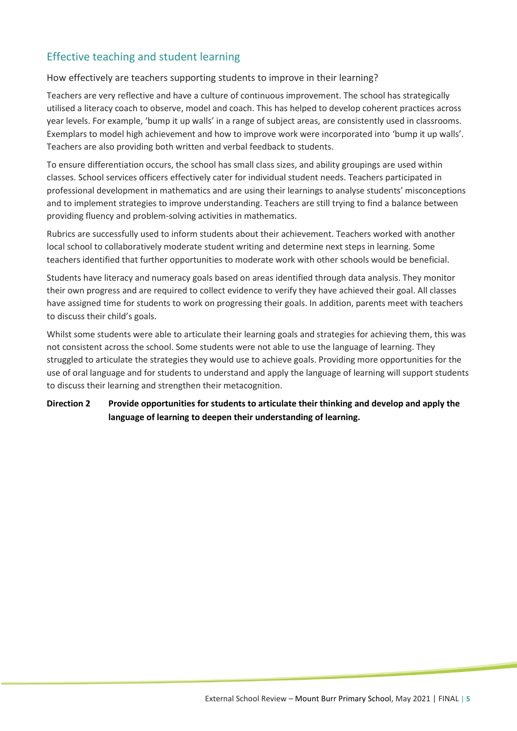#### Effective teaching and student learning

#### How effectively are teachers supporting students to improve in their learning?

Teachers are very reflective and have a culture of continuous improvement. The school has strategically utilised a literacy coach to observe, model and coach. This has helped to develop coherent practices across year levels. For example, 'bump it up walls' in a range of subject areas, are consistently used in classrooms. Exemplars to model high achievement and how to improve work were incorporated into 'bump it up walls'. Teachers are also providing both written and verbal feedback to students.

To ensure differentiation occurs, the school has small class sizes, and ability groupings are used within classes. School services officers effectively cater for individual student needs. Teachers participated in professional development in mathematics and are using their learnings to analyse students' misconceptions and to implement strategies to improve understanding. Teachers are still trying to find a balance between providing fluency and problem-solving activities in mathematics.

Rubrics are successfully used to inform students about their achievement. Teachers worked with another local school to collaboratively moderate student writing and determine next steps in learning. Some teachers identified that further opportunities to moderate work with other schools would be beneficial.

Students have literacy and numeracy goals based on areas identified through data analysis. They monitor their own progress and are required to collect evidence to verify they have achieved their goal. All classes have assigned time for students to work on progressing their goals. In addition, parents meet with teachers to discuss their child's goals.

Whilst some students were able to articulate their learning goals and strategies for achieving them, this was not consistent across the school. Some students were not able to use the language of learning. They struggled to articulate the strategies they would use to achieve goals. Providing more opportunities for the use of oral language and for students to understand and apply the language of learning will support students to discuss their learning and strengthen their metacognition.

#### **Direction 2 Provide opportunities for students to articulate their thinking and develop and apply the language of learning to deepen their understanding of learning.**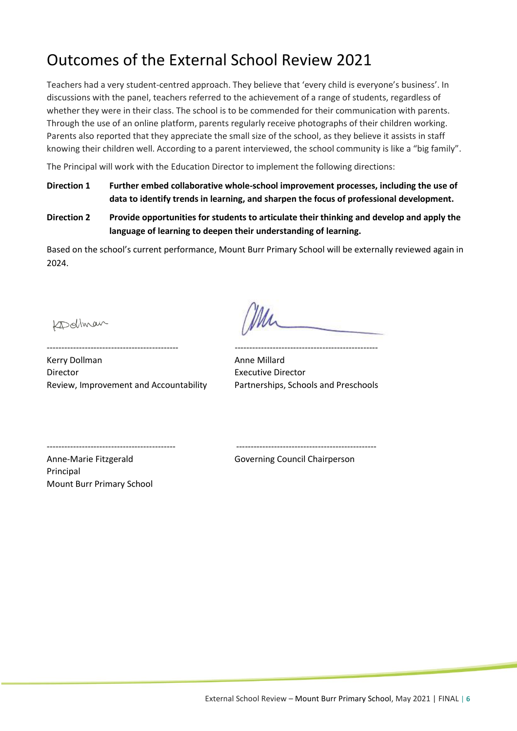## Outcomes of the External School Review 2021

Teachers had a very student-centred approach. They believe that 'every child is everyone's business'. In discussions with the panel, teachers referred to the achievement of a range of students, regardless of whether they were in their class. The school is to be commended for their communication with parents. Through the use of an online platform, parents regularly receive photographs of their children working. Parents also reported that they appreciate the small size of the school, as they believe it assists in staff knowing their children well. According to a parent interviewed, the school community is like a "big family".

The Principal will work with the Education Director to implement the following directions:

- **Direction 1 Further embed collaborative whole-school improvement processes, including the use of data to identify trends in learning, and sharpen the focus of professional development.**
- **Direction 2 Provide opportunities for students to articulate their thinking and develop and apply the language of learning to deepen their understanding of learning.**

Based on the school's current performance, Mount Burr Primary School will be externally reviewed again in 2024.

Kollman

--------------------------------------------- -------------------------------------------------

Kerry Dollman **Anne Millard** Anne Millard Director Executive Director Review, Improvement and Accountability Partnerships, Schools and Preschools

-------------------------------------------- ------------------------------------------------

Anne-Marie Fitzgerald Governing Council Chairperson Principal Mount Burr Primary School